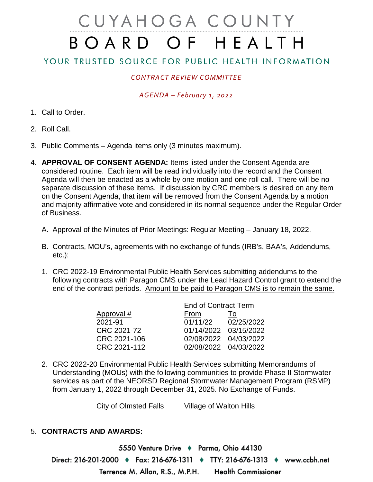# CUYAHOGA COUNTY BOARD OF HEALTH

## YOUR TRUSTED SOURCE FOR PUBLIC HEALTH INFORMATION

## *CONTRACT REVIEW COMMITTEE*

### *AGENDA – February 1, 2022*

- 1. Call to Order.
- 2. Roll Call.
- 3. Public Comments Agenda items only (3 minutes maximum).
- 4. **APPROVAL OF CONSENT AGENDA:** Items listed under the Consent Agenda are considered routine. Each item will be read individually into the record and the Consent Agenda will then be enacted as a whole by one motion and one roll call. There will be no separate discussion of these items. If discussion by CRC members is desired on any item on the Consent Agenda, that item will be removed from the Consent Agenda by a motion and majority affirmative vote and considered in its normal sequence under the Regular Order of Business.
	- A. Approval of the Minutes of Prior Meetings: Regular Meeting January 18, 2022.
	- B. Contracts, MOU's, agreements with no exchange of funds (IRB's, BAA's, Addendums, etc.):
	- 1. CRC 2022-19 Environmental Public Health Services submitting addendums to the following contracts with Paragon CMS under the Lead Hazard Control grant to extend the end of the contract periods. Amount to be paid to Paragon CMS is to remain the same.

| <b>End of Contract Term</b> |            |
|-----------------------------|------------|
| From                        | 10         |
| 01/11/22                    | 02/25/2022 |
| 01/14/2022 03/15/2022       |            |
| 02/08/2022 04/03/2022       |            |
| 02/08/2022 04/03/2022       |            |
|                             |            |

2. CRC 2022-20 Environmental Public Health Services submitting Memorandums of Understanding (MOUs) with the following communities to provide Phase II Stormwater services as part of the NEORSD Regional Stormwater Management Program (RSMP) from January 1, 2022 through December 31, 2025. No Exchange of Funds.

City of Olmsted Falls Village of Walton Hills

#### 5. **CONTRACTS AND AWARDS:**

5550 Venture Drive → Parma, Ohio 44130 Direct: 216-201-2000 ♦ Fax: 216-676-1311 ♦ TTY: 216-676-1313 ♦ www.ccbh.net Terrence M. Allan, R.S., M.P.H. **Health Commissioner**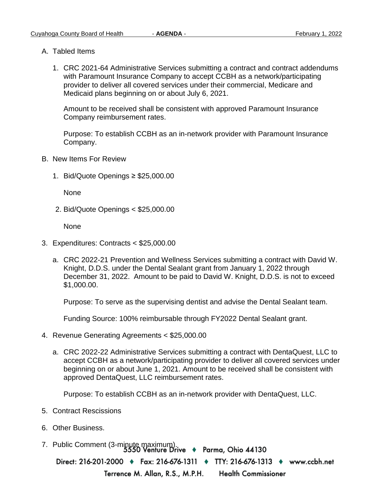- A. Tabled Items
	- 1. CRC 2021-64 Administrative Services submitting a contract and contract addendums with Paramount Insurance Company to accept CCBH as a network/participating provider to deliver all covered services under their commercial, Medicare and Medicaid plans beginning on or about July 6, 2021.

Amount to be received shall be consistent with approved Paramount Insurance Company reimbursement rates.

Purpose: To establish CCBH as an in-network provider with Paramount Insurance Company.

- B. New Items For Review
	- 1. Bid/Quote Openings ≥ \$25,000.00

None

2. Bid/Quote Openings < \$25,000.00

None

- 3. Expenditures: Contracts < \$25,000.00
	- a. CRC 2022-21 Prevention and Wellness Services submitting a contract with David W. Knight, D.D.S. under the Dental Sealant grant from January 1, 2022 through December 31, 2022. Amount to be paid to David W. Knight, D.D.S. is not to exceed \$1,000.00.

Purpose: To serve as the supervising dentist and advise the Dental Sealant team.

Funding Source: 100% reimbursable through FY2022 Dental Sealant grant.

- 4. Revenue Generating Agreements < \$25,000.00
	- a. CRC 2022-22 Administrative Services submitting a contract with DentaQuest, LLC to accept CCBH as a network/participating provider to deliver all covered services under beginning on or about June 1, 2021. Amount to be received shall be consistent with approved DentaQuest, LLC reimbursement rates.

Purpose: To establish CCBH as an in-network provider with DentaQuest, LLC.

- 5. Contract Rescissions
- 6. Other Business.
- 7. Public Comment (3-minute maximum).<br>5550 Venture Drive + Parma, Ohio 44130

Direct: 216-201-2000 ♦ Fax: 216-676-1311 ♦ TTY: 216-676-1313 ♦ www.ccbh.net

Terrence M. Allan, R.S., M.P.H. **Health Commissioner**